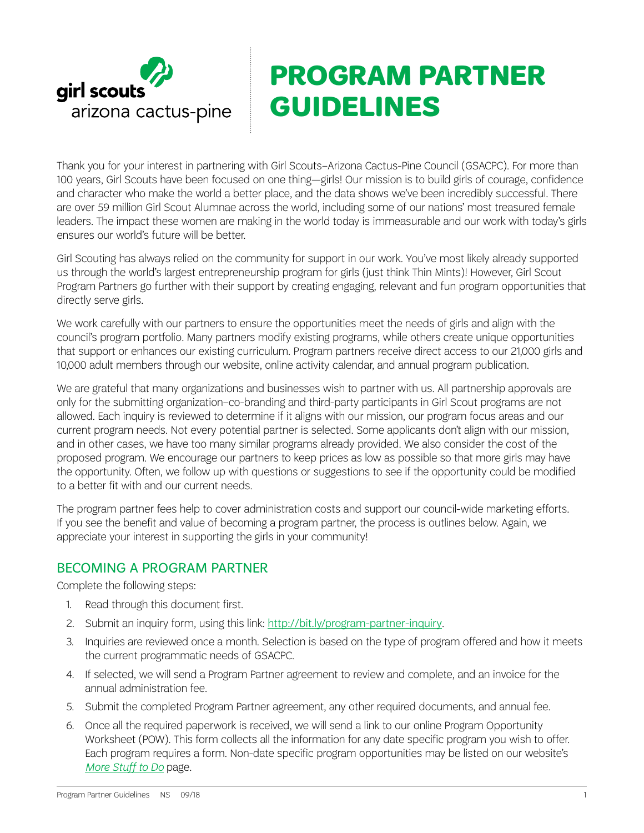

# **PROGRAM PARTNER GUIDELINES**

Thank you for your interest in partnering with Girl Scouts–Arizona Cactus-Pine Council (GSACPC). For more than 100 years, Girl Scouts have been focused on one thing—girls! Our mission is to build girls of courage, confidence and character who make the world a better place, and the data shows we've been incredibly successful. There are over 59 million Girl Scout Alumnae across the world, including some of our nations' most treasured female leaders. The impact these women are making in the world today is immeasurable and our work with today's girls ensures our world's future will be better.

Girl Scouting has always relied on the community for support in our work. You've most likely already supported us through the world's largest entrepreneurship program for girls (just think Thin Mints)! However, Girl Scout Program Partners go further with their support by creating engaging, relevant and fun program opportunities that directly serve girls.

We work carefully with our partners to ensure the opportunities meet the needs of girls and align with the council's program portfolio. Many partners modify existing programs, while others create unique opportunities that support or enhances our existing curriculum. Program partners receive direct access to our 21,000 girls and 10,000 adult members through our website, online activity calendar, and annual program publication.

We are grateful that many organizations and businesses wish to partner with us. All partnership approvals are only for the submitting organization–co-branding and third-party participants in Girl Scout programs are not allowed. Each inquiry is reviewed to determine if it aligns with our mission, our program focus areas and our current program needs. Not every potential partner is selected. Some applicants don't align with our mission, and in other cases, we have too many similar programs already provided. We also consider the cost of the proposed program. We encourage our partners to keep prices as low as possible so that more girls may have the opportunity. Often, we follow up with questions or suggestions to see if the opportunity could be modified to a better fit with and our current needs.

The program partner fees help to cover administration costs and support our council-wide marketing efforts. If you see the benefit and value of becoming a program partner, the process is outlines below. Again, we appreciate your interest in supporting the girls in your community!

# BECOMING A PROGRAM PARTNER

Complete the following steps:

- 1. Read through this document first.
- 2. Submit an inquiry form, using this link: http://bit.ly/program-partner-inquiry.
- 3. Inquiries are reviewed once a month. Selection is based on the type of program offered and how it meets the current programmatic needs of GSACPC.
- 4. If selected, we will send a Program Partner agreement to review and complete, and an invoice for the annual administration fee.
- 5. Submit the completed Program Partner agreement, any other required documents, and annual fee.
- 6. Once all the required paperwork is received, we will send a link to our online Program Opportunity Worksheet (POW). This form collects all the information for any date specific program you wish to offer. Each program requires a form. Non-date specific program opportunities may be listed on our website's *[More Stuff to Do](http://www.girlscoutsaz.org/content/girlscoutsaz/en/about-girl-scouts/our-program/ways-to-participate/more-stuff-to-do.html)* page.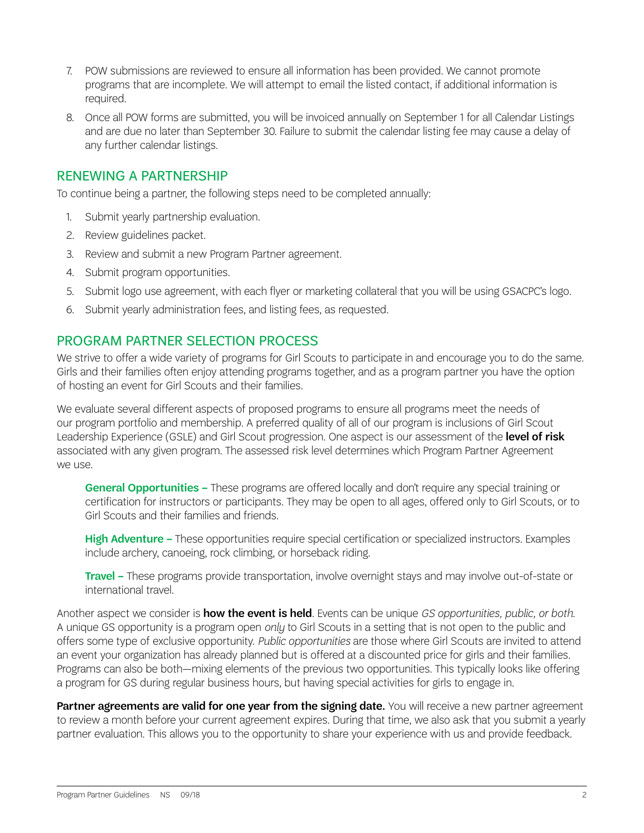- 7. POW submissions are reviewed to ensure all information has been provided. We cannot promote programs that are incomplete. We will attempt to email the listed contact, if additional information is required.
- 8. Once all POW forms are submitted, you will be invoiced annually on September 1 for all Calendar Listings and are due no later than September 30. Failure to submit the calendar listing fee may cause a delay of any further calendar listings.

### RENEWING A PARTNERSHIP

To continue being a partner, the following steps need to be completed annually:

- 1. Submit yearly partnership evaluation.
- 2. Review guidelines packet.
- 3. Review and submit a new Program Partner agreement.
- 4. Submit program opportunities.
- 5. Submit logo use agreement, with each flyer or marketing collateral that you will be using GSACPC's logo.
- 6. Submit yearly administration fees, and listing fees, as requested.

### PROGRAM PARTNER SELECTION PROCESS

We strive to offer a wide variety of programs for Girl Scouts to participate in and encourage you to do the same. Girls and their families often enjoy attending programs together, and as a program partner you have the option of hosting an event for Girl Scouts and their families.

We evaluate several different aspects of proposed programs to ensure all programs meet the needs of our program portfolio and membership. A preferred quality of all of our program is inclusions of Girl Scout Leadership Experience (GSLE) and Girl Scout progression. One aspect is our assessment of the level of risk associated with any given program. The assessed risk level determines which Program Partner Agreement we use.

General Opportunities – These programs are offered locally and don't require any special training or certification for instructors or participants. They may be open to all ages, offered only to Girl Scouts, or to Girl Scouts and their families and friends.

High Adventure – These opportunities require special certification or specialized instructors. Examples include archery, canoeing, rock climbing, or horseback riding.

Travel – These programs provide transportation, involve overnight stays and may involve out-of-state or international travel.

Another aspect we consider is how the event is held. Events can be unique *GS opportunities, public, or both*. A unique GS opportunity is a program open *only* to Girl Scouts in a setting that is not open to the public and offers some type of exclusive opportunity. *Public opportunities* are those where Girl Scouts are invited to attend an event your organization has already planned but is offered at a discounted price for girls and their families. Programs can also be both—mixing elements of the previous two opportunities. This typically looks like offering a program for GS during regular business hours, but having special activities for girls to engage in.

Partner agreements are valid for one year from the signing date. You will receive a new partner agreement to review a month before your current agreement expires. During that time, we also ask that you submit a yearly partner evaluation. This allows you to the opportunity to share your experience with us and provide feedback.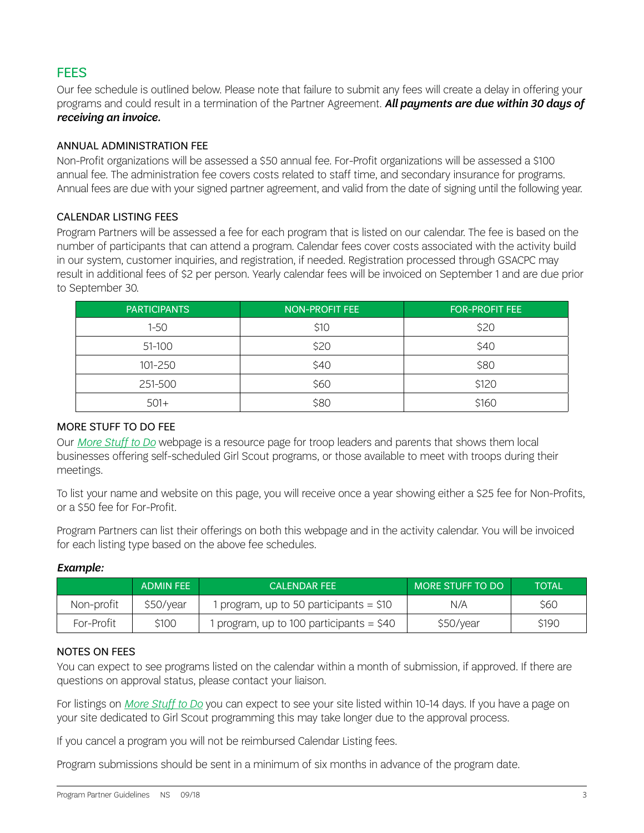# **FFFS**

Our fee schedule is outlined below. Please note that failure to submit any fees will create a delay in offering your programs and could result in a termination of the Partner Agreement. *All payments are due within 30 days of receiving an invoice.*

#### ANNUAL ADMINISTRATION FEE

Non-Profit organizations will be assessed a \$50 annual fee. For-Profit organizations will be assessed a \$100 annual fee. The administration fee covers costs related to staff time, and secondary insurance for programs. Annual fees are due with your signed partner agreement, and valid from the date of signing until the following year.

#### CALENDAR LISTING FEES

Program Partners will be assessed a fee for each program that is listed on our calendar. The fee is based on the number of participants that can attend a program. Calendar fees cover costs associated with the activity build in our system, customer inquiries, and registration, if needed. Registration processed through GSACPC may result in additional fees of \$2 per person. Yearly calendar fees will be invoiced on September 1 and are due prior to September 30.

| <b>PARTICIPANTS</b> | <b>NON-PROFIT FEE</b> | <b>FOR-PROFIT FEE</b> |
|---------------------|-----------------------|-----------------------|
| $1 - 50$            | \$10                  | \$20                  |
| 51-100              | \$20                  | \$40                  |
| 101-250             | \$40                  | \$80                  |
| 251-500             | \$60                  | \$120                 |
| $501+$              | \$80                  | \$160                 |

#### MORE STUFF TO DO FEE

Our *[More Stuff to Do](http://www.girlscoutsaz.org/content/girlscoutsaz/en/about-girl-scouts/our-program/ways-to-participate/more-stuff-to-do.html)* webpage is a resource page for troop leaders and parents that shows them local businesses offering self-scheduled Girl Scout programs, or those available to meet with troops during their meetings.

To list your name and website on this page, you will receive once a year showing either a \$25 fee for Non-Profits, or a \$50 fee for For-Profit.

Program Partners can list their offerings on both this webpage and in the activity calendar. You will be invoiced for each listing type based on the above fee schedules.

#### *Example:*

|            | ADMIN FFF | <b>CALENDAR FFF</b>                       | MORE STUFF TO DO | <b>TOTAL</b> |
|------------|-----------|-------------------------------------------|------------------|--------------|
| Non-profit | \$50/year | 1 program, up to 50 participants $=$ \$10 | N/A              | \$60         |
| For-Profit | \$100     | program, up to 100 participants = \$40    | \$50/year        | \$190        |

#### NOTES ON FEES

You can expect to see programs listed on the calendar within a month of submission, if approved. If there are questions on approval status, please contact your liaison.

For listings on *[More Stuff to Do](http://www.girlscoutsaz.org/content/girlscoutsaz/en/about-girl-scouts/our-program/ways-to-participate/more-stuff-to-do.html)* you can expect to see your site listed within 10-14 days. If you have a page on your site dedicated to Girl Scout programming this may take longer due to the approval process.

If you cancel a program you will not be reimbursed Calendar Listing fees.

Program submissions should be sent in a minimum of six months in advance of the program date.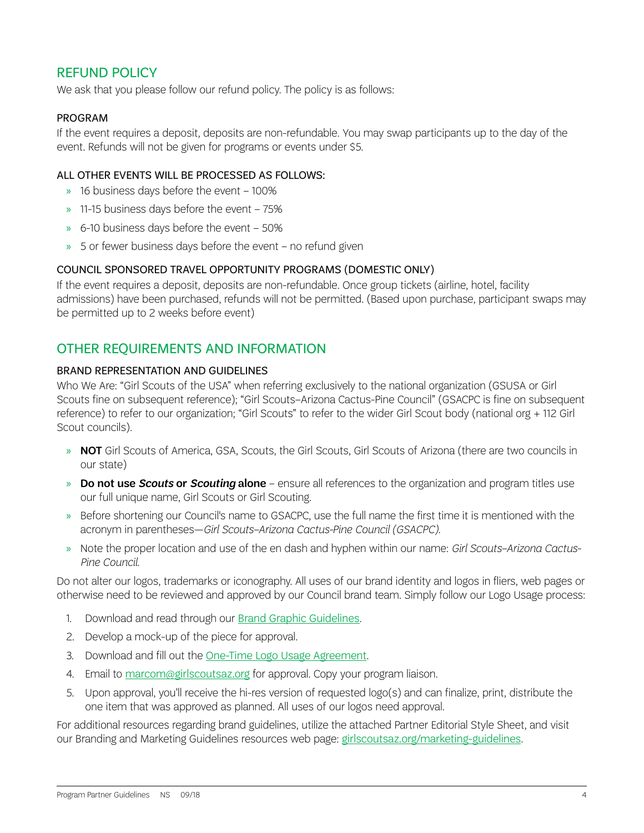# REFUND POLICY

We ask that you please follow our refund policy. The policy is as follows:

#### PROGRAM

If the event requires a deposit, deposits are non-refundable. You may swap participants up to the day of the event. Refunds will not be given for programs or events under \$5.

#### ALL OTHER EVENTS WILL BE PROCESSED AS FOLLOWS:

- » 16 business days before the event 100%
- » 11-15 business days before the event 75%
- » 6-10 business days before the event 50%
- » 5 or fewer business days before the event no refund given

#### COUNCIL SPONSORED TRAVEL OPPORTUNITY PROGRAMS (DOMESTIC ONLY)

If the event requires a deposit, deposits are non-refundable. Once group tickets (airline, hotel, facility admissions) have been purchased, refunds will not be permitted. (Based upon purchase, participant swaps may be permitted up to 2 weeks before event)

### OTHER REQUIREMENTS AND INFORMATION

#### BRAND REPRESENTATION AND GUIDELINES

Who We Are: "Girl Scouts of the USA" when referring exclusively to the national organization (GSUSA or Girl Scouts fine on subsequent reference); "Girl Scouts–Arizona Cactus-Pine Council" (GSACPC is fine on subsequent reference) to refer to our organization; "Girl Scouts" to refer to the wider Girl Scout body (national org + 112 Girl Scout councils).

- » NOT Girl Scouts of America, GSA, Scouts, the Girl Scouts, Girl Scouts of Arizona (there are two councils in our state)
- » Do not use *Scouts* or *Scouting* alone ensure all references to the organization and program titles use our full unique name, Girl Scouts or Girl Scouting.
- » Before shortening our Council's name to GSACPC, use the full name the first time it is mentioned with the acronym in parentheses—*Girl Scouts–Arizona Cactus-Pine Council (GSACPC)*.
- » Note the proper location and use of the en dash and hyphen within our name: *Girl Scouts–Arizona Cactus-Pine Council*.

Do not alter our logos, trademarks or iconography. All uses of our brand identity and logos in fliers, web pages or otherwise need to be reviewed and approved by our Council brand team. Simply follow our Logo Usage process:

- 1. Download and read through our **[Brand Graphic Guidelines](http://www.girlscoutsaz.org/content/dam/girlscoutsaz/documents/volunteer-resources/brand-pr-marketing/graphic-guidelines-logo-usage-agreement.pdf)**.
- 2. Develop a mock-up of the piece for approval.
- 3. Download and fill out the [One-Time Logo Usage Agreement](http://www.girlscoutsaz.org/content/dam/girlscoutsaz/documents/volunteer-resources/brand-pr-marketing/graphic-guidelines-logo-usage-agreement.pdf).
- 4. Email to [marcom@girlscoutsaz.org](mailto:marcom%40girlscoutsaz.org?subject=) for approval. Copy your program liaison.
- 5. Upon approval, you'll receive the hi-res version of requested logo(s) and can finalize, print, distribute the one item that was approved as planned. All uses of our logos need approval.

For additional resources regarding brand guidelines, utilize the attached Partner Editorial Style Sheet, and visit our Branding and Marketing Guidelines resources web page: [girlscoutsaz.org/marketing-guidelines](http://girlscoutsaz.org/marketing-guidelines).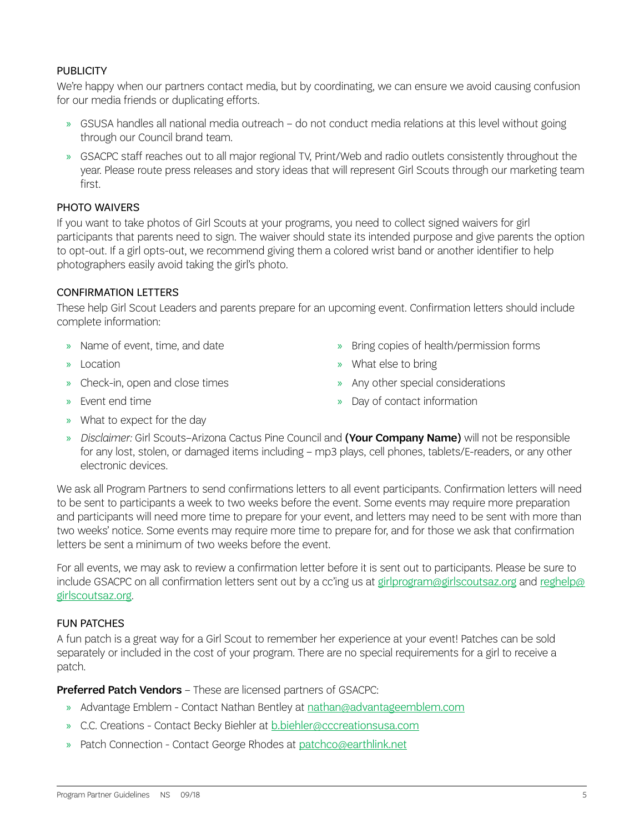#### **PUBLICITY**

We're happy when our partners contact media, but by coordinating, we can ensure we avoid causing confusion for our media friends or duplicating efforts.

- » GSUSA handles all national media outreach do not conduct media relations at this level without going through our Council brand team.
- » GSACPC staff reaches out to all major regional TV, Print/Web and radio outlets consistently throughout the year. Please route press releases and story ideas that will represent Girl Scouts through our marketing team first.

#### PHOTO WAIVERS

If you want to take photos of Girl Scouts at your programs, you need to collect signed waivers for girl participants that parents need to sign. The waiver should state its intended purpose and give parents the option to opt-out. If a girl opts-out, we recommend giving them a colored wrist band or another identifier to help photographers easily avoid taking the girl's photo.

#### CONFIRMATION LETTERS

These help Girl Scout Leaders and parents prepare for an upcoming event. Confirmation letters should include complete information:

- » Name of event, time, and date
- » Location
- » Check-in, open and close times
- » Event end time
- » Bring copies of health/permission forms
- » What else to bring
- » Any other special considerations
- » Day of contact information

- » What to expect for the day
- » *Disclaimer:* Girl Scouts–Arizona Cactus Pine Council and (Your Company Name) will not be responsible for any lost, stolen, or damaged items including – mp3 plays, cell phones, tablets/E-readers, or any other electronic devices.

We ask all Program Partners to send confirmations letters to all event participants. Confirmation letters will need to be sent to participants a week to two weeks before the event. Some events may require more preparation and participants will need more time to prepare for your event, and letters may need to be sent with more than two weeks' notice. Some events may require more time to prepare for, and for those we ask that confirmation letters be sent a minimum of two weeks before the event.

For all events, we may ask to review a confirmation letter before it is sent out to participants. Please be sure to include GSACPC on all confirmation letters sent out by a cc'ing us at [girlprogram@girlscoutsaz.org](mailto:girlprogram%40girlscoutsaz.org?subject=) and [reghelp@](mailto:reghelp%40girlscoutsaz.org?subject=) [girlscoutsaz.org](mailto:reghelp%40girlscoutsaz.org?subject=).

#### FUN PATCHES

A fun patch is a great way for a Girl Scout to remember her experience at your event! Patches can be sold separately or included in the cost of your program. There are no special requirements for a girl to receive a patch.

**Preferred Patch Vendors** – These are licensed partners of GSACPC:

- » Advantage Emblem Contact Nathan Bentley at [nathan@advantageemblem.com](mailto:nathan%40advantageemblem.com?subject=)
- » C.C. Creations Contact Becky Biehler at [b.biehler@cccreationsusa.com](mailto:b.biehler%40cccreationsusa.com?subject=)
- » Patch Connection Contact George Rhodes at [patchco@earthlink.net](mailto:patchco%40earthlink.net?subject=)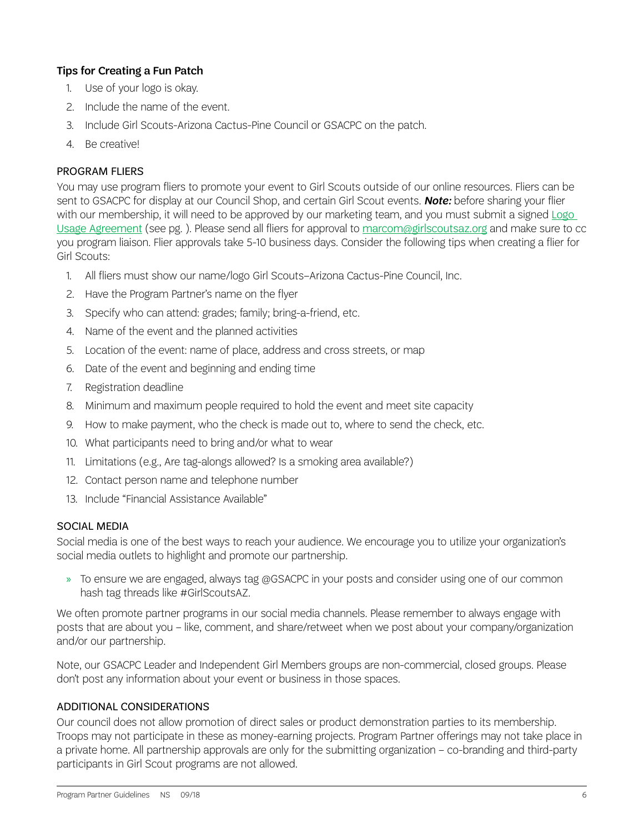#### Tips for Creating a Fun Patch

- 1. Use of your logo is okay.
- 2. Include the name of the event.
- 3. Include Girl Scouts-Arizona Cactus-Pine Council or GSACPC on the patch.
- 4. Be creative!

#### PROGRAM FLIERS

You may use program fliers to promote your event to Girl Scouts outside of our online resources. Fliers can be sent to GSACPC for display at our Council Shop, and certain Girl Scout events. *Note:* before sharing your flier with our membership, it will need to be approved by our marketing team, and you must submit a signed [Logo](#page-12-0)  [Usage Agreement](#page-12-0) (see pg. ). Please send all fliers for approval to [marcom@girlscoutsaz.org](mailto:marcom%40girlscoutsaz.org?subject=) and make sure to cc you program liaison. Flier approvals take 5-10 business days. Consider the following tips when creating a flier for Girl Scouts:

- 1. All fliers must show our name/logo Girl Scouts–Arizona Cactus-Pine Council, Inc.
- 2. Have the Program Partner's name on the flyer
- 3. Specify who can attend: grades; family; bring-a-friend, etc.
- 4. Name of the event and the planned activities
- 5. Location of the event: name of place, address and cross streets, or map
- 6. Date of the event and beginning and ending time
- 7. Registration deadline
- 8. Minimum and maximum people required to hold the event and meet site capacity
- 9. How to make payment, who the check is made out to, where to send the check, etc.
- 10. What participants need to bring and/or what to wear
- 11. Limitations (e.g., Are tag-alongs allowed? Is a smoking area available?)
- 12. Contact person name and telephone number
- 13. Include "Financial Assistance Available"

#### SOCIAL MEDIA

Social media is one of the best ways to reach your audience. We encourage you to utilize your organization's social media outlets to highlight and promote our partnership.

» To ensure we are engaged, always tag @GSACPC in your posts and consider using one of our common hash tag threads like #GirlScoutsAZ.

We often promote partner programs in our social media channels. Please remember to always engage with posts that are about you – like, comment, and share/retweet when we post about your company/organization and/or our partnership.

Note, our GSACPC Leader and Independent Girl Members groups are non-commercial, closed groups. Please don't post any information about your event or business in those spaces.

#### ADDITIONAL CONSIDERATIONS

Our council does not allow promotion of direct sales or product demonstration parties to its membership. Troops may not participate in these as money-earning projects. Program Partner offerings may not take place in a private home. All partnership approvals are only for the submitting organization – co-branding and third-party participants in Girl Scout programs are not allowed.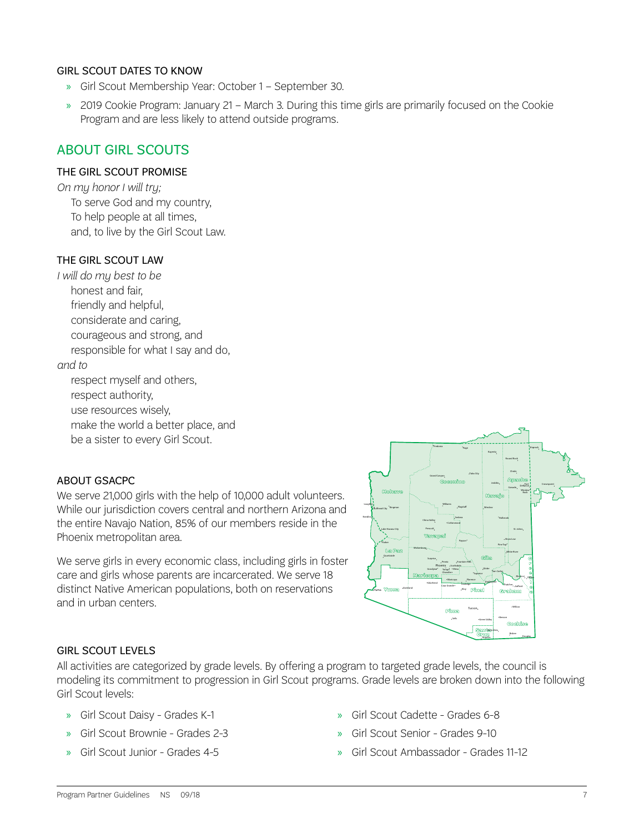#### GIRL SCOUT DATES TO KNOW

- » Girl Scout Membership Year: October 1 September 30.
- » 2019 Cookie Program: January 21 March 3. During this time girls are primarily focused on the Cookie Program and are less likely to attend outside programs.

### ABOUT GIRL SCOUTS

#### THE GIRL SCOUT PROMISE

*On my honor I will try;* To serve God and my country, To help people at all times, and, to live by the Girl Scout Law.

#### THE GIRL SCOUT LAW

*I will do my best to be* honest and fair, friendly and helpful, considerate and caring, courageous and strong, and responsible for what I say and do, *and to*

respect myself and others, respect authority, use resources wisely, make the world a better place, and be a sister to every Girl Scout.

#### ABOUT GSACPC

We serve 21,000 girls with the help of 10,000 adult volunteers. While our jurisdiction covers central and northern Arizona and the entire Navajo Nation, 85% of our members reside in the Phoenix metropolitan area.

We serve girls in every economic class, including girls in foster care and girls whose parents are incarcerated. We serve 18 distinct Native American populations, both on reservations and in urban centers.



#### GIRL SCOUT LEVELS

All activities are categorized by grade levels. By offering a program to targeted grade levels, the council is modeling its commitment to progression in Girl Scout programs. Grade levels are broken down into the following Girl Scout levels:

- » Girl Scout Daisy Grades K-1
- » Girl Scout Brownie Grades 2-3
- » Girl Scout Junior Grades 4-5
- » Girl Scout Cadette Grades 6-8
- » Girl Scout Senior Grades 9-10
- » Girl Scout Ambassador Grades 11-12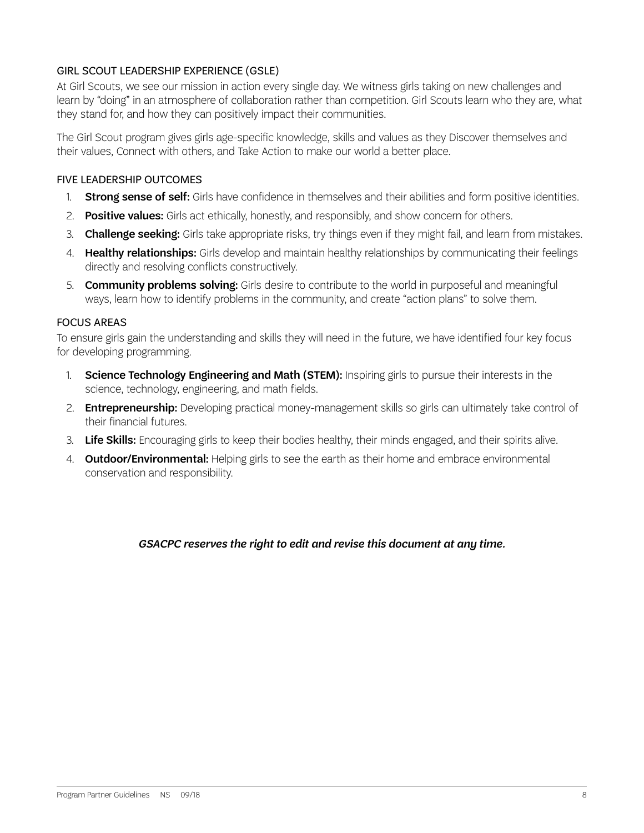#### GIRL SCOUT LEADERSHIP EXPERIENCE (GSLE)

At Girl Scouts, we see our mission in action every single day. We witness girls taking on new challenges and learn by "doing" in an atmosphere of collaboration rather than competition. Girl Scouts learn who they are, what they stand for, and how they can positively impact their communities.

The Girl Scout program gives girls age-specific knowledge, skills and values as they Discover themselves and their values, Connect with others, and Take Action to make our world a better place.

#### FIVE LEADERSHIP OUTCOMES

- 1. Strong sense of self: Girls have confidence in themselves and their abilities and form positive identities.
- 2. Positive values: Girls act ethically, honestly, and responsibly, and show concern for others.
- 3. Challenge seeking: Girls take appropriate risks, try things even if they might fail, and learn from mistakes.
- 4. **Healthy relationships:** Girls develop and maintain healthy relationships by communicating their feelings directly and resolving conflicts constructively.
- 5. **Community problems solving:** Girls desire to contribute to the world in purposeful and meaningful ways, learn how to identify problems in the community, and create "action plans" to solve them.

#### FOCUS AREAS

To ensure girls gain the understanding and skills they will need in the future, we have identified four key focus for developing programming.

- 1. Science Technology Engineering and Math (STEM): Inspiring girls to pursue their interests in the science, technology, engineering, and math fields.
- 2. **Entrepreneurship:** Developing practical money-management skills so girls can ultimately take control of their financial futures.
- 3. Life Skills: Encouraging girls to keep their bodies healthy, their minds engaged, and their spirits alive.
- 4. **Outdoor/Environmental:** Helping girls to see the earth as their home and embrace environmental conservation and responsibility.

#### *GSACPC reserves the right to edit and revise this document at any time.*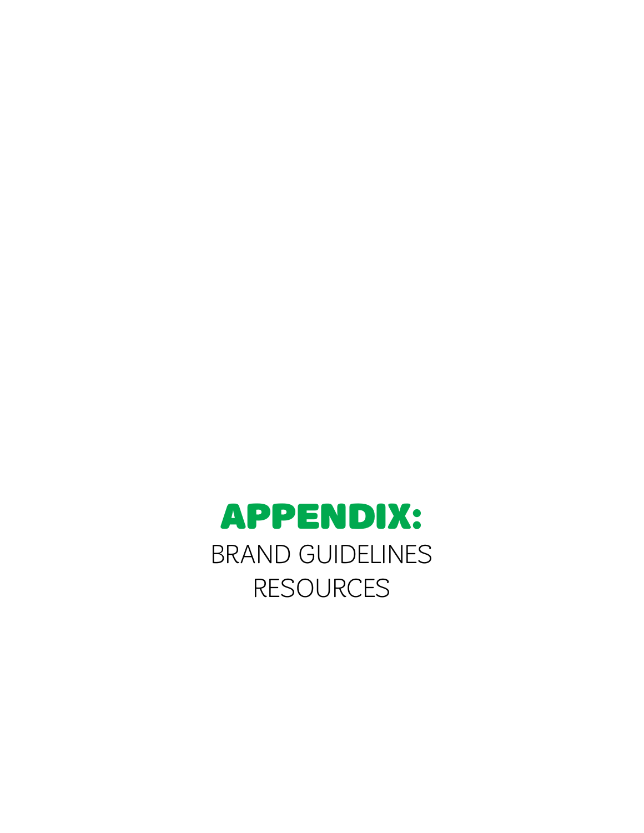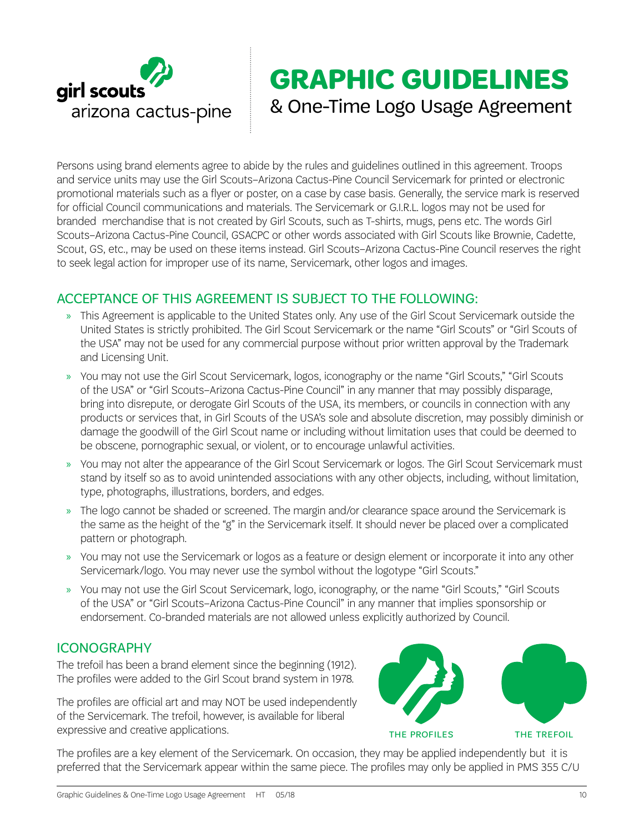

# **GRAPHIC GUIDELINES** & One-Time Logo Usage Agreement

Persons using brand elements agree to abide by the rules and guidelines outlined in this agreement. Troops and service units may use the Girl Scouts–Arizona Cactus-Pine Council Servicemark for printed or electronic promotional materials such as a flyer or poster, on a case by case basis. Generally, the service mark is reserved for official Council communications and materials. The Servicemark or G.I.R.L. logos may not be used for branded merchandise that is not created by Girl Scouts, such as T-shirts, mugs, pens etc. The words Girl Scouts–Arizona Cactus-Pine Council, GSACPC or other words associated with Girl Scouts like Brownie, Cadette, Scout, GS, etc., may be used on these items instead. Girl Scouts–Arizona Cactus-Pine Council reserves the right to seek legal action for improper use of its name, Servicemark, other logos and images.

# ACCEPTANCE OF THIS AGREEMENT IS SUBJECT TO THE FOLLOWING:

- » This Agreement is applicable to the United States only. Any use of the Girl Scout Servicemark outside the United States is strictly prohibited. The Girl Scout Servicemark or the name "Girl Scouts" or "Girl Scouts of the USA" may not be used for any commercial purpose without prior written approval by the Trademark and Licensing Unit.
- » You may not use the Girl Scout Servicemark, logos, iconography or the name "Girl Scouts," "Girl Scouts of the USA" or "Girl Scouts–Arizona Cactus-Pine Council" in any manner that may possibly disparage, bring into disrepute, or derogate Girl Scouts of the USA, its members, or councils in connection with any products or services that, in Girl Scouts of the USA's sole and absolute discretion, may possibly diminish or damage the goodwill of the Girl Scout name or including without limitation uses that could be deemed to be obscene, pornographic sexual, or violent, or to encourage unlawful activities.
- » You may not alter the appearance of the Girl Scout Servicemark or logos. The Girl Scout Servicemark must stand by itself so as to avoid unintended associations with any other objects, including, without limitation, type, photographs, illustrations, borders, and edges.
- » The logo cannot be shaded or screened. The margin and/or clearance space around the Servicemark is the same as the height of the "g" in the Servicemark itself. It should never be placed over a complicated pattern or photograph.
- » You may not use the Servicemark or logos as a feature or design element or incorporate it into any other Servicemark/logo. You may never use the symbol without the logotype "Girl Scouts."
- » You may not use the Girl Scout Servicemark, logo, iconography, or the name "Girl Scouts," "Girl Scouts of the USA" or "Girl Scouts–Arizona Cactus-Pine Council" in any manner that implies sponsorship or endorsement. Co-branded materials are not allowed unless explicitly authorized by Council.

## ICONOGRAPHY

The trefoil has been a brand element since the beginning (1912). The profiles were added to the Girl Scout brand system in 1978.

The profiles are official art and may NOT be used independently of the Servicemark. The trefoil, however, is available for liberal expressive and creative applications.



The profiles are a key element of the Servicemark. On occasion, they may be applied independently but it is preferred that the Servicemark appear within the same piece. The profiles may only be applied in PMS 355 C/U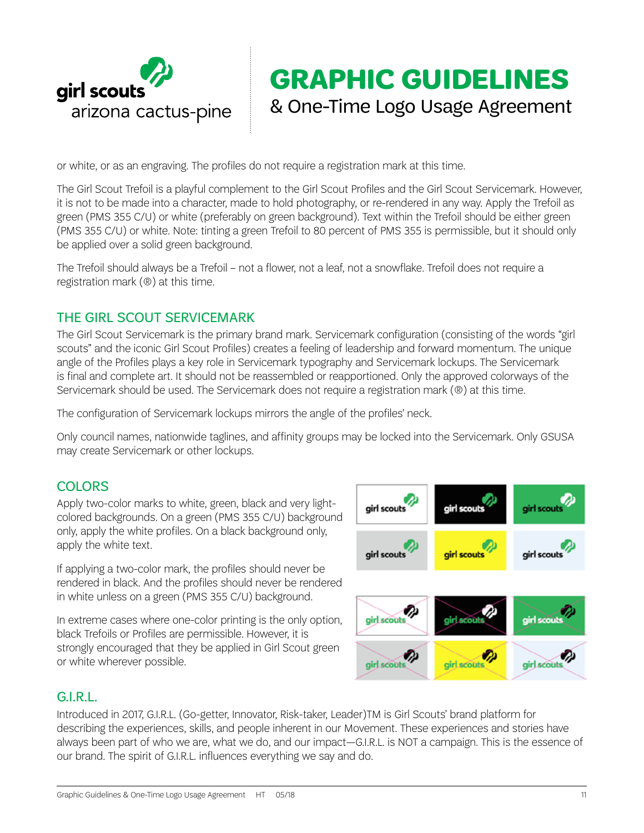

# **GRAPHIC GUIDELINES** & One-Time Logo Usage Agreement

or white, or as an engraving. The profiles do not require a registration mark at this time.

The Girl Scout Trefoil is a playful complement to the Girl Scout Profiles and the Girl Scout Servicemark. However, it is not to be made into a character, made to hold photography, or re-rendered in any way. Apply the Trefoil as green (PMS 355 C/U) or white (preferably on green background). Text within the Trefoil should be either green (PMS 355 C/U) or white. Note: tinting a green Trefoil to 80 percent of PMS 355 is permissible, but it should only be applied over a solid green background.

The Trefoil should always be a Trefoil – not a flower, not a leaf, not a snowflake. Trefoil does not require a registration mark (®) at this time.

# THE GIRL SCOUT SERVICEMARK

The Girl Scout Servicemark is the primary brand mark. Servicemark configuration (consisting of the words "girl scouts" and the iconic Girl Scout Profiles) creates a feeling of leadership and forward momentum. The unique angle of the Profiles plays a key role in Servicemark typography and Servicemark lockups. The Servicemark is final and complete art. It should not be reassembled or reapportioned. Only the approved colorways of the Servicemark should be used. The Servicemark does not require a registration mark (®) at this time.

The configuration of Servicemark lockups mirrors the angle of the profiles' neck.

Only council names, nationwide taglines, and affinity groups may be locked into the Servicemark. Only GSUSA may create Servicemark or other lockups.

## **COLORS**

Apply two-color marks to white, green, black and very lightcolored backgrounds. On a green (PMS 355 C/U) background only, apply the white profiles. On a black background only, apply the white text.

If applying a two-color mark, the profiles should never be rendered in black. And the profiles should never be rendered in white unless on a green (PMS 355 C/U) background.

In extreme cases where one-color printing is the only option, black Trefoils or Profiles are permissible. However, it is strongly encouraged that they be applied in Girl Scout green or white wherever possible.



## G.I.R.L.

Introduced in 2017, G.I.R.L. (Go-getter, Innovator, Risk-taker, Leader)TM is Girl Scouts' brand platform for describing the experiences, skills, and people inherent in our Movement. These experiences and stories have always been part of who we are, what we do, and our impact—G.I.R.L. is NOT a campaign. This is the essence of our brand. The spirit of G.I.R.L. influences everything we say and do.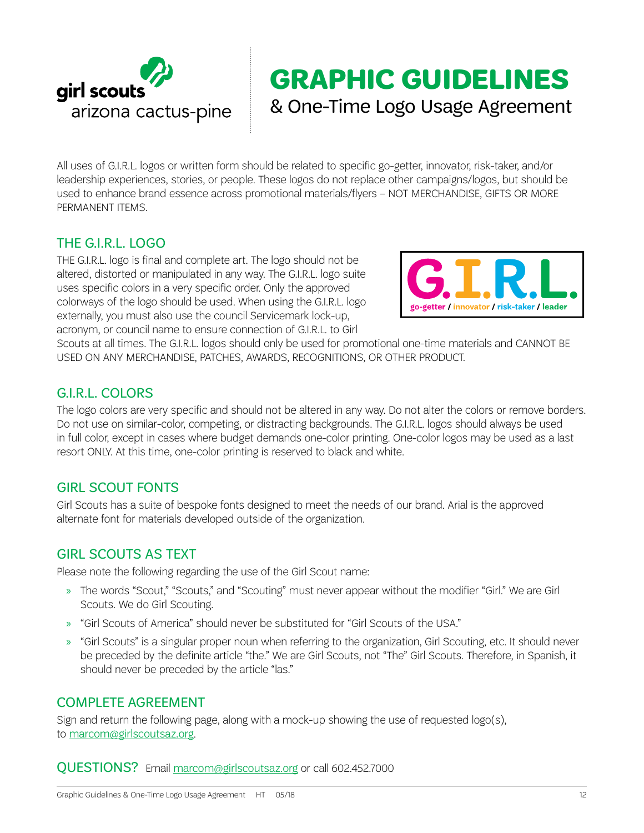

# **GRAPHIC GUIDELINES** & One-Time Logo Usage Agreement

All uses of G.I.R.L. logos or written form should be related to specific go-getter, innovator, risk-taker, and/or leadership experiences, stories, or people. These logos do not replace other campaigns/logos, but should be used to enhance brand essence across promotional materials/flyers – NOT MERCHANDISE, GIFTS OR MORE PERMANENT ITEMS.

# THE G.I.R.L. LOGO

THE G.I.R.L. logo is final and complete art. The logo should not be altered, distorted or manipulated in any way. The G.I.R.L. logo suite uses specific colors in a very specific order. Only the approved colorways of the logo should be used. When using the G.I.R.L. logo externally, you must also use the council Servicemark lock-up, acronym, or council name to ensure connection of G.I.R.L. to Girl



Scouts at all times. The G.I.R.L. logos should only be used for promotional one-time materials and CANNOT BE USED ON ANY MERCHANDISE, PATCHES, AWARDS, RECOGNITIONS, OR OTHER PRODUCT.

# G.I.R.L. COLORS

The logo colors are very specific and should not be altered in any way. Do not alter the colors or remove borders. Do not use on similar-color, competing, or distracting backgrounds. The G.I.R.L. logos should always be used in full color, except in cases where budget demands one-color printing. One-color logos may be used as a last resort ONLY. At this time, one-color printing is reserved to black and white.

# GIRL SCOUT FONTS

Girl Scouts has a suite of bespoke fonts designed to meet the needs of our brand. Arial is the approved alternate font for materials developed outside of the organization.

## GIRL SCOUTS AS TEXT

Please note the following regarding the use of the Girl Scout name:

- » The words "Scout," "Scouts," and "Scouting" must never appear without the modifier "Girl." We are Girl Scouts. We do Girl Scouting.
- » "Girl Scouts of America" should never be substituted for "Girl Scouts of the USA."
- » "Girl Scouts" is a singular proper noun when referring to the organization, Girl Scouting, etc. It should never be preceded by the definite article "the." We are Girl Scouts, not "The" Girl Scouts. Therefore, in Spanish, it should never be preceded by the article "las."

## COMPLETE AGREEMENT

Sign and return the following page, along with a mock-up showing the use of requested logo(s), to [marcom@girlscoutsaz.org](mailto:marcom%40girlscoutsaz.org?subject=).

QUESTIONS? Email [marcom@girlscoutsaz.org](mailto:marcom%40girlscoutsaz.org?subject=) or call 602.452.7000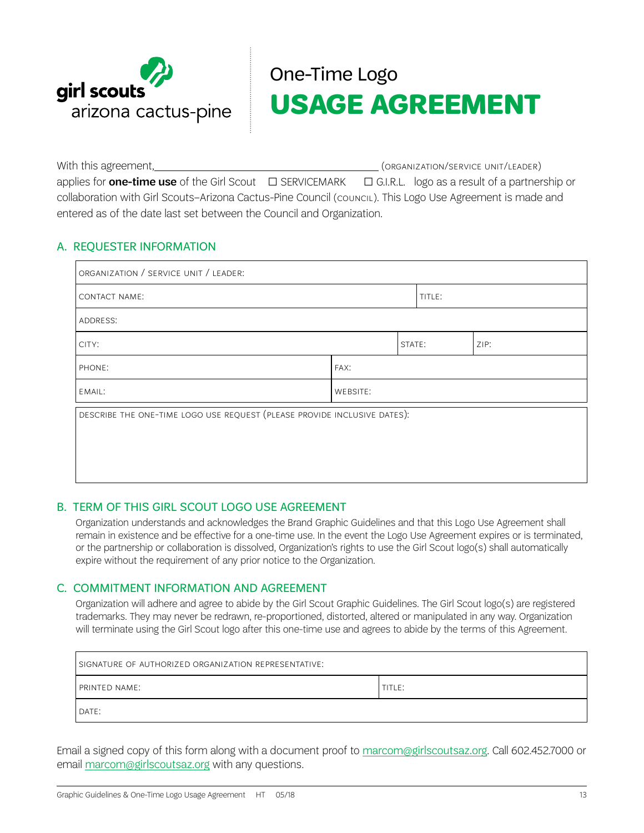

# One-Time Logo **USAGE AGREEMENT**

<span id="page-12-0"></span>With this agreement,  $(ORGANIZATION/SERVICE UNIT/LEADER)$ applies for **one-time use** of the Girl Scout  $\Box$  SERVICEMARK  $\Box$  G.I.R.L. logo as a result of a partnership or collaboration with Girl Scouts–Arizona Cactus-Pine Council (council). This Logo Use Agreement is made and entered as of the date last set between the Council and Organization.

#### A. REQUESTER INFORMATION

| ORGANIZATION / SERVICE UNIT / LEADER:                                    |          |        |        |      |  |
|--------------------------------------------------------------------------|----------|--------|--------|------|--|
| CONTACT NAME:                                                            |          |        | TITLE: |      |  |
| ADDRESS:                                                                 |          |        |        |      |  |
| CITY:                                                                    |          | STATE: |        | ZIP: |  |
| PHONE:                                                                   | FAX:     |        |        |      |  |
| EMAIL:                                                                   | WEBSITE: |        |        |      |  |
| DESCRIBE THE ONE-TIME LOGO USE REQUEST (PLEASE PROVIDE INCLUSIVE DATES): |          |        |        |      |  |
|                                                                          |          |        |        |      |  |
|                                                                          |          |        |        |      |  |
|                                                                          |          |        |        |      |  |

#### B. TERM OF THIS GIRL SCOUT LOGO USE AGREEMENT

Organization understands and acknowledges the Brand Graphic Guidelines and that this Logo Use Agreement shall remain in existence and be effective for a one-time use. In the event the Logo Use Agreement expires or is terminated, or the partnership or collaboration is dissolved, Organization's rights to use the Girl Scout logo(s) shall automatically expire without the requirement of any prior notice to the Organization.

#### C. COMMITMENT INFORMATION AND AGREEMENT

Organization will adhere and agree to abide by the Girl Scout Graphic Guidelines. The Girl Scout logo(s) are registered trademarks. They may never be redrawn, re-proportioned, distorted, altered or manipulated in any way. Organization will terminate using the Girl Scout logo after this one-time use and agrees to abide by the terms of this Agreement.

| SIGNATURE OF AUTHORIZED ORGANIZATION REPRESENTATIVE: |        |  |  |  |
|------------------------------------------------------|--------|--|--|--|
| PRINTED NAME:                                        | TITLE: |  |  |  |
| DATE:                                                |        |  |  |  |

Email a signed copy of this form along with a document proof to [marcom@girlscoutsaz.org](mailto:marcom%40girlscoutsaz.org?subject=). Call 602.452.7000 or email [marcom@girlscoutsaz.org](mailto:marcom%40girlscoutsaz.org?subject=) with any questions.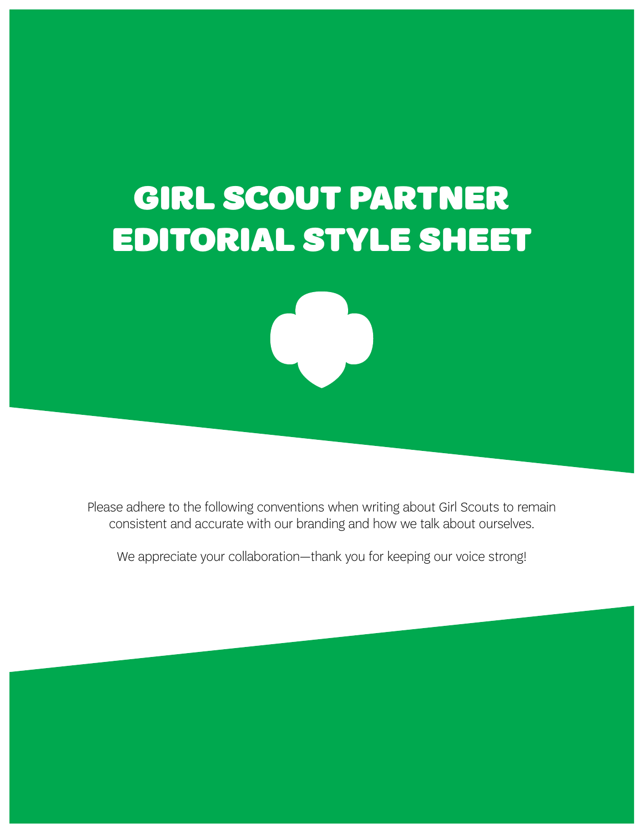# GIRL SCOUT PARTNER EDITORIAL STYLE SHEET



Please adhere to the following conventions when writing about Girl Scouts to remain consistent and accurate with our branding and how we talk about ourselves.

We appreciate your collaboration—thank you for keeping our voice strong!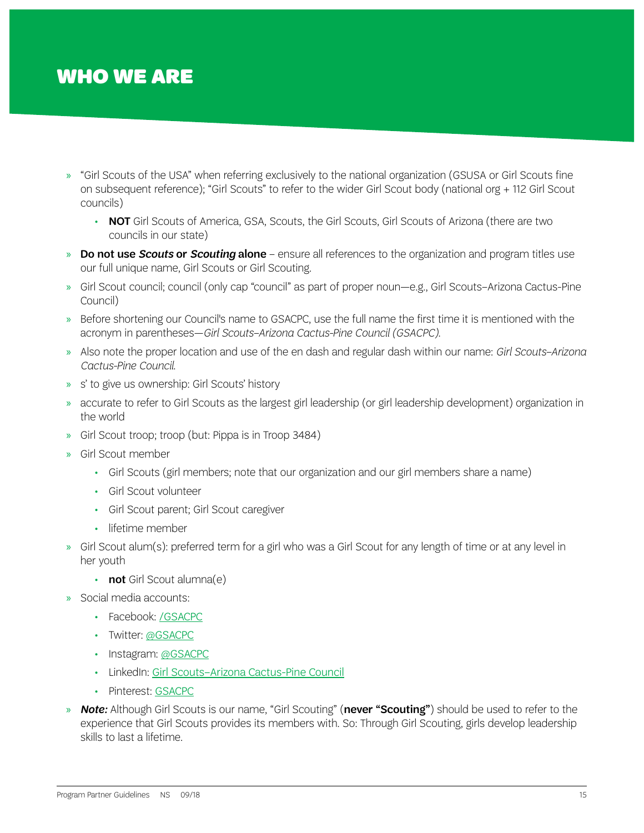# WHO WE ARE

- » "Girl Scouts of the USA" when referring exclusively to the national organization (GSUSA or Girl Scouts fine on subsequent reference); "Girl Scouts" to refer to the wider Girl Scout body (national org + 112 Girl Scout councils)
	- NOT Girl Scouts of America, GSA, Scouts, the Girl Scouts, Girl Scouts of Arizona (there are two councils in our state)
- » Do not use *Scouts* or *Scouting* alone ensure all references to the organization and program titles use our full unique name, Girl Scouts or Girl Scouting.
- » Girl Scout council; council (only cap "council" as part of proper noun—e.g., Girl Scouts–Arizona Cactus-Pine Council)
- » Before shortening our Council's name to GSACPC, use the full name the first time it is mentioned with the acronym in parentheses—*Girl Scouts–Arizona Cactus-Pine Council (GSACPC)*.
- » Also note the proper location and use of the en dash and regular dash within our name: *Girl Scouts–Arizona Cactus-Pine Council*.
- » s' to give us ownership: Girl Scouts' history
- » accurate to refer to Girl Scouts as the largest girl leadership (or girl leadership development) organization in the world
- » Girl Scout troop; troop (but: Pippa is in Troop 3484)
- » Girl Scout member
	- Girl Scouts (girl members; note that our organization and our girl members share a name)
	- Girl Scout volunteer
	- Girl Scout parent; Girl Scout caregiver
	- lifetime member
- » Girl Scout alum(s): preferred term for a girl who was a Girl Scout for any length of time or at any level in her youth
	- not Girl Scout alumna(e)
- » Social media accounts:
	- Facebook: [/GSACPC](https://www.facebook.com/GSACPC)
	- Twitter: [@GSACPC](https://twitter.com/gsacpc)
	- Instagram: [@GSACPC](https://www.instagram.com/gsacpc)
	- LinkedIn: [Girl Scouts–Arizona Cactus-Pine Council](https://www.linkedin.com/company/girl-scouts---arizona-cactus-pine-council/)
	- Pinterest: [GSACPC](https://www.pinterest.com/gsacpc)
- » *Note:* Although Girl Scouts is our name, "Girl Scouting" (never "Scouting") should be used to refer to the experience that Girl Scouts provides its members with. So: Through Girl Scouting, girls develop leadership skills to last a lifetime.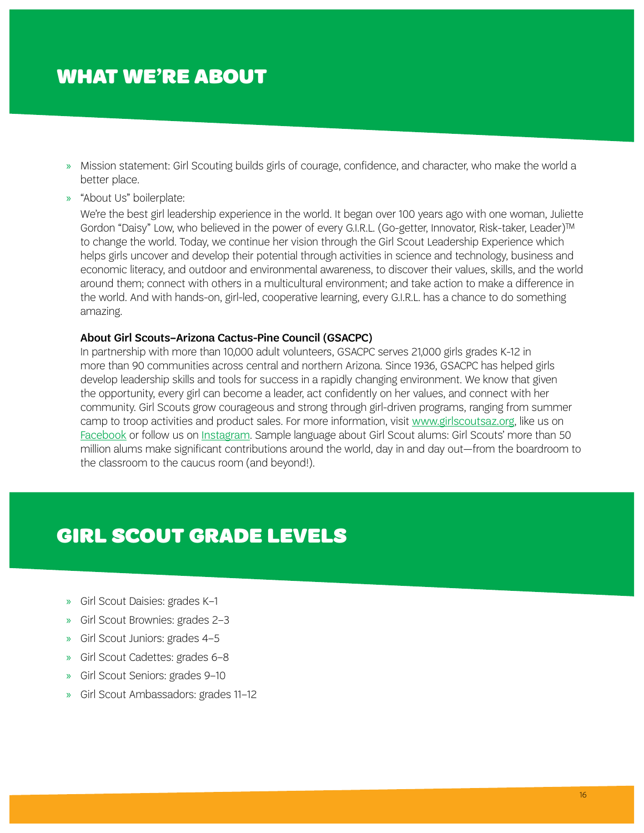# WHAT WE'RE ABOUT

- » Mission statement: Girl Scouting builds girls of courage, confidence, and character, who make the world a better place.
- » "About Us" boilerplate:

We're the best girl leadership experience in the world. It began over 100 years ago with one woman, Juliette Gordon "Daisy" Low, who believed in the power of every G.I.R.L. (Go-getter, Innovator, Risk-taker, Leader)™ to change the world. Today, we continue her vision through the Girl Scout Leadership Experience which helps girls uncover and develop their potential through activities in science and technology, business and economic literacy, and outdoor and environmental awareness, to discover their values, skills, and the world around them; connect with others in a multicultural environment; and take action to make a difference in the world. And with hands-on, girl-led, cooperative learning, every G.I.R.L. has a chance to do something amazing.

#### About Girl Scouts–Arizona Cactus-Pine Council (GSACPC)

In partnership with more than 10,000 adult volunteers, GSACPC serves 21,000 girls grades K-12 in more than 90 communities across central and northern Arizona. Since 1936, GSACPC has helped girls develop leadership skills and tools for success in a rapidly changing environment. We know that given the opportunity, every girl can become a leader, act confidently on her values, and connect with her community. Girl Scouts grow courageous and strong through girl-driven programs, ranging from summer camp to troop activities and product sales. For more information, visit [www.girlscoutsaz.org](http://www.girlscoutsaz.org), like us on [Facebook](https://www.facebook.com/GSACPC) or follow us on [Instagram](https://www.instagram.com/gsacpc). Sample language about Girl Scout alums: Girl Scouts' more than 50 million alums make significant contributions around the world, day in and day out—from the boardroom to the classroom to the caucus room (and beyond!).

# GIRL SCOUT GRADE LEVELS

- » Girl Scout Daisies: grades K–1
- » Girl Scout Brownies: grades 2–3
- » Girl Scout Juniors: grades 4–5
- » Girl Scout Cadettes: grades 6–8
- » Girl Scout Seniors: grades 9–10
- » Girl Scout Ambassadors: grades 11–12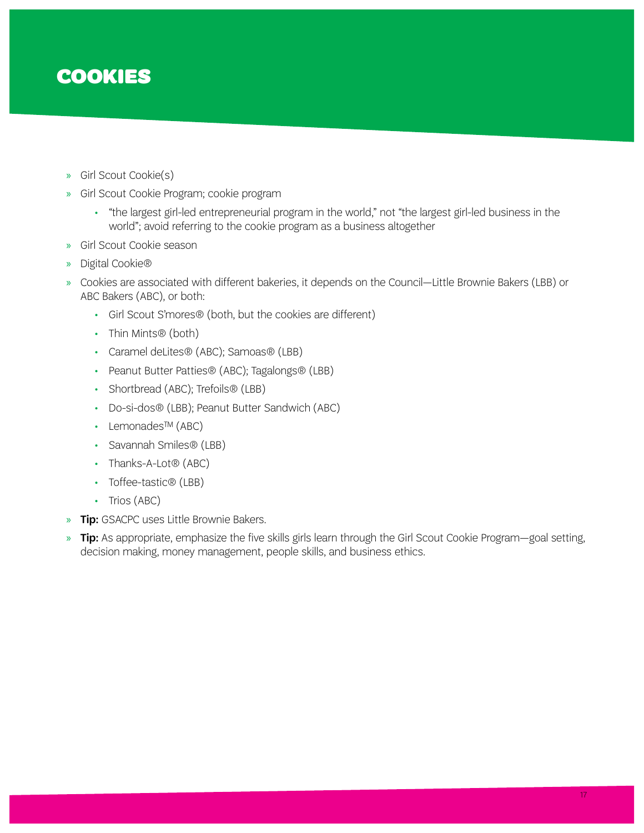# COOKIES

- » Girl Scout Cookie(s)
- » Girl Scout Cookie Program; cookie program
	- "the largest girl-led entrepreneurial program in the world," not "the largest girl-led business in the world"; avoid referring to the cookie program as a business altogether
- » Girl Scout Cookie season
- » Digital Cookie®
- » Cookies are associated with different bakeries, it depends on the Council—Little Brownie Bakers (LBB) or ABC Bakers (ABC), or both:
	- Girl Scout S'mores® (both, but the cookies are different)
	- Thin Mints® (both)
	- Caramel deLites® (ABC); Samoas® (LBB)
	- Peanut Butter Patties® (ABC); Tagalongs® (LBB)
	- Shortbread (ABC); Trefoils<sup>®</sup> (LBB)
	- Do-si-dos® (LBB); Peanut Butter Sandwich (ABC)
	- Lemonades™ (ABC)
	- Savannah Smiles® (LBB)
	- Thanks-A-Lot<sup>®</sup> (ABC)
	- Toffee-tastic® (LBB)
	- Trios (ABC)
- **» Tip:** GSACPC uses Little Brownie Bakers.
- » Tip: As appropriate, emphasize the five skills girls learn through the Girl Scout Cookie Program—goal setting, decision making, money management, people skills, and business ethics.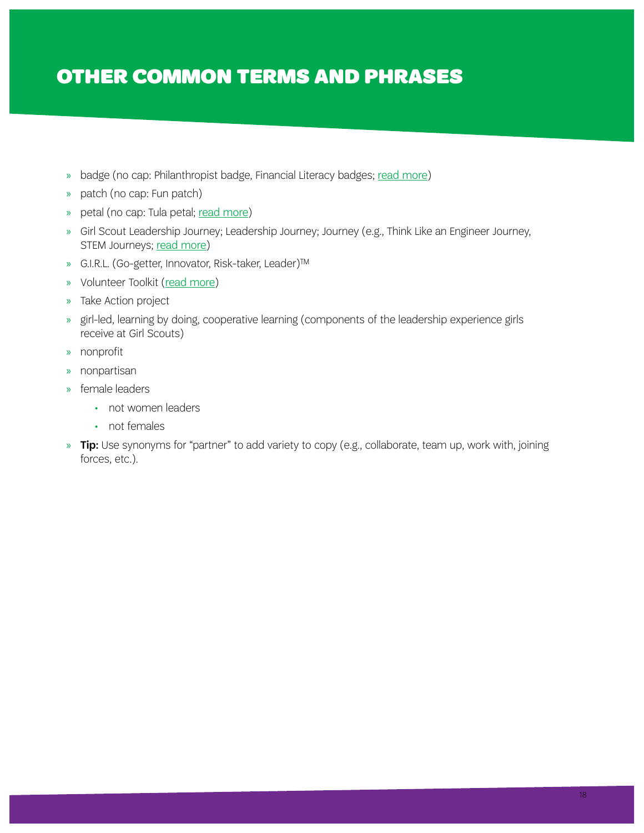# OTHER COMMON TERMS AND PHRASES

- » badge (no cap: Philanthropist badge, Financial Literacy badges; [read more](https://www.girlscouts.org/en/our-program/badges.html))
- » patch (no cap: Fun patch)
- » petal (no cap: Tula petal; [read more](https://www.girlscouts.org/content/dam/girlscouts-gsusa/forms-and-documents/our-program/insignia-list/what_daisies_do.pdf))
- » Girl Scout Leadership Journey; Leadership Journey; Journey (e.g., Think Like an Engineer Journey, STEM Journeys; [read more](https://www.girlscouts.org/en/our-program/journeys.html))
- » G.I.R.L. (Go-getter, Innovator, Risk-taker, Leader)™
- » Volunteer Toolkit ([read more](https://www.girlscouts.org/en/adults/volunteer/volunteer-resources.html))
- » Take Action project
- » girl-led, learning by doing, cooperative learning (components of the leadership experience girls receive at Girl Scouts)
- » nonprofit
- » nonpartisan
- » female leaders
	- not women leaders
	- not females
- » Tip: Use synonyms for "partner" to add variety to copy (e.g., collaborate, team up, work with, joining forces, etc.).